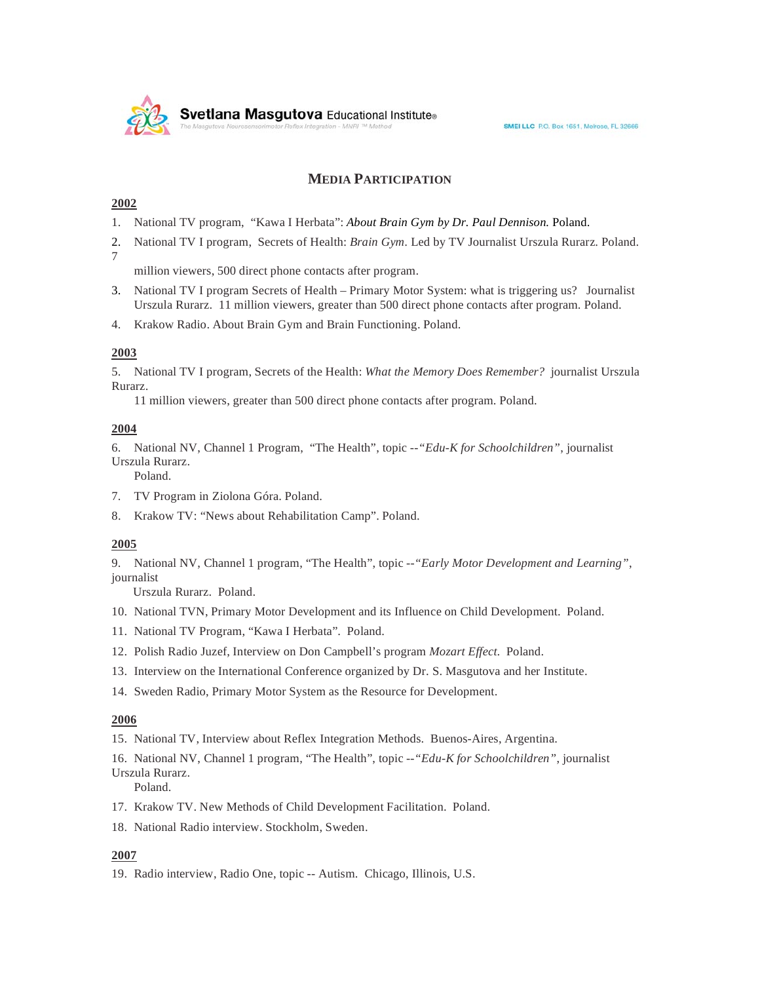

## **MEDIA PARTICIPATION**

## **2002**

- 1. National TV program, "Kawa I Herbata": *About Brain Gym by Dr. Paul Dennison.* Poland.
- 2. National TV I program, Secrets of Health: *Brain Gym.* Led by TV Journalist Urszula Rurarz. Poland. 7

million viewers, 500 direct phone contacts after program.

- 3. National TV I program Secrets of Health Primary Motor System: what is triggering us? Journalist Urszula Rurarz. 11 million viewers, greater than 500 direct phone contacts after program. Poland.
- 4. Krakow Radio. About Brain Gym and Brain Functioning. Poland.

#### **2003**

5. National TV I program, Secrets of the Health: *What the Memory Does Remember?* journalist Urszula Rurarz.

11 million viewers, greater than 500 direct phone contacts after program. Poland.

#### **2004**

6. National NV, Channel 1 Program, "The Health", topic --*"Edu-K for Schoolchildren"*, journalist Urszula Rurarz.

Poland.

- 7. TV Program in Ziolona Góra. Poland.
- 8. Krakow TV: "News about Rehabilitation Camp". Poland.

#### **2005**

9. National NV, Channel 1 program, "The Health", topic --*"Early Motor Development and Learning"*, journalist

Urszula Rurarz. Poland.

- 10. National TVN, Primary Motor Development and its Influence on Child Development. Poland.
- 11. National TV Program, "Kawa I Herbata". Poland.
- 12. Polish Radio Juzef, Interview on Don Campbell's program *Mozart Effect*. Poland.
- 13. Interview on the International Conference organized by Dr. S. Masgutova and her Institute.
- 14. Sweden Radio, Primary Motor System as the Resource for Development.

### **2006**

15. National TV, Interview about Reflex Integration Methods. Buenos-Aires, Argentina.

16. National NV, Channel 1 program, "The Health", topic --*"Edu-K for Schoolchildren"*, journalist Urszula Rurarz.

Poland.

- 17. Krakow TV. New Methods of Child Development Facilitation. Poland.
- 18. National Radio interview. Stockholm, Sweden.

## **2007**

19. Radio interview, Radio One, topic -- Autism. Chicago, Illinois, U.S.